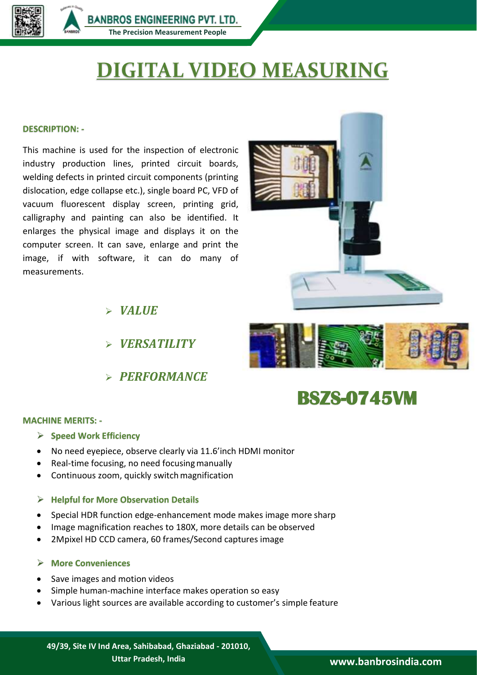

**BANBROS ENGINEERING PVT. LTD. The Precision Measurement People**

# **DIGITAL VIDEO MEASURING**

#### **DESCRIPTION: -**

This machine is used for the inspection of electronic industry production lines, printed circuit boards, welding defects in printed circuit components (printing dislocation, edge collapse etc.), single board PC, VFD of vacuum fluorescent display screen, printing grid, calligraphy and painting can also be identified. It enlarges the physical image and displays it on the computer screen. It can save, enlarge and print the image, if with software, it can do many of measurements.



*VALUE*

- *VERSATILITY*
- *PERFORMANCE*



# **BSZS-0745VM**

#### **MACHINE MERITS: -**

- **Speed Work Efficiency**
- No need eyepiece, observe clearly via 11.6'inch HDMI monitor
- Real-time focusing, no need focusing manually
- Continuous zoom, quickly switch magnification

#### **Helpful for More Observation Details**

- Special HDR function edge-enhancement mode makes image more sharp
- Image magnification reaches to 180X, more details can be observed
- 2Mpixel HD CCD camera, 60 frames/Second captures image

#### **More Conveniences**

- Save images and motion videos
- Simple human-machine interface makes operation so easy
- Various light sources are available according to customer's simple feature